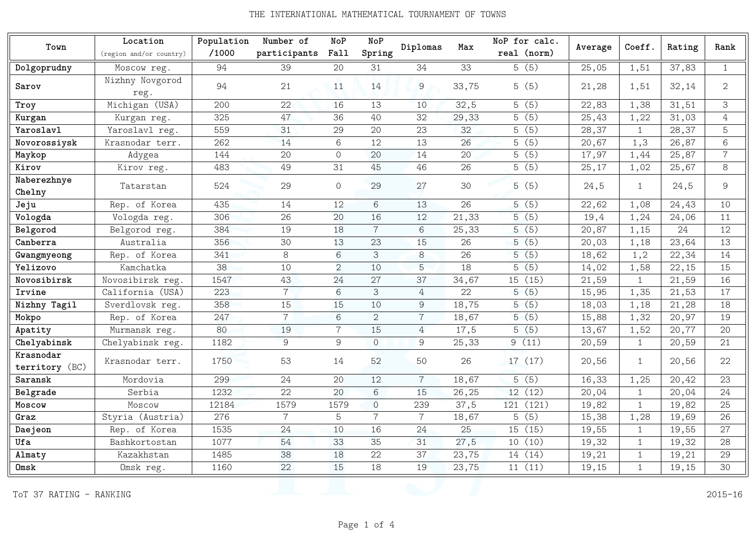## THE INTERNATIONAL MATHEMATICAL TOURNAMENT OF TOWNS

|                             | Location                | Population | Number of      | NoP            | NoP            | Diplomas       | Max   | NoP for calc. |         |              | Rating |                |
|-----------------------------|-------------------------|------------|----------------|----------------|----------------|----------------|-------|---------------|---------|--------------|--------|----------------|
| Town                        | (region and/or country) | /1000      | participants   | Fall           | Spring         |                |       | real (norm)   | Average | Coeff.       |        | Rank           |
| Dolgoprudny                 | Moscow reg.             | 94         | 39             | 20             | 31             | 34             | 33    | 5(5)          | 25,05   | 1,51         | 37,83  | $\mathbf{1}$   |
| Sarov                       | Nizhny Novgorod<br>reg. | 94         | 21             | 11             | 14             | 9              | 33,75 | 5(5)          | 21,28   | 1,51         | 32,14  | 2              |
| Troy                        | Michigan (USA)          | 200        | 22             | 16             | 13             | 10             | 32,5  | 5(5)          | 22,83   | 1,38         | 31,51  | $\mathcal{S}$  |
| Kurgan                      | Kurgan reg.             | 325        | 47             | 36             | 40             | 32             | 29,33 | 5(5)          | 25,43   | 1,22         | 31,03  | $\sqrt{4}$     |
| Yaroslavl                   | Yaroslavl reg.          | 559        | 31             | 29             | 20             | 23             | 32    | 5(5)          | 28,37   | $\mathbf{1}$ | 28,37  | 5              |
| Novorossiysk                | Krasnodar terr.         | 262        | 14             | 6              | 12             | 13             | 26    | 5(5)          | 20,67   | 1,3          | 26,87  | $\,6$          |
| Maykop                      | Adygea                  | 144        | 20             | $\circ$        | 20             | 14             | 20    | 5(5)          | 17,97   | 1,44         | 25,87  | $\overline{7}$ |
| Kirov                       | Kirov reg.              | 483        | 49             | 31             | 45             | 46             | 26    | 5(5)          | 25,17   | 1,02         | 25,67  | 8              |
| Naberezhnye<br>Chelny       | Tatarstan               | 524        | 29             | $\Omega$       | 29             | 27             | 30    | 5(5)          | 24,5    | $\mathbf{1}$ | 24,5   | 9              |
| Jeju                        | Rep. of Korea           | 435        | 14             | 12             | 6              | 13             | 26    | 5(5)          | 22,62   | 1,08         | 24,43  | 10             |
| Vologda                     | Vologda reg.            | 306        | 26             | 20             | 16             | 12             | 21,33 | 5(5)          | 19,4    | 1,24         | 24,06  | 11             |
| Belgorod                    | Belgorod reg.           | 384        | 19             | 18             | $\overline{7}$ | 6              | 25,33 | 5(5)          | 20,87   | 1,15         | 24     | 12             |
| Canberra                    | Australia               | 356        | 30             | 13             | 23             | 15             | 26    | 5(5)          | 20,03   | 1,18         | 23,64  | 13             |
| Gwangmyeong                 | Rep. of Korea           | 341        | 8              | 6              | 3              | 8              | 26    | 5(5)          | 18,62   | 1, 2         | 22,34  | 14             |
| Yelizovo                    | Kamchatka               | 38         | 10             | 2              | 10             | 5              | 18    | 5(5)          | 14,02   | 1,58         | 22,15  | 15             |
| Novosibirsk                 | Novosibirsk reg.        | 1547       | 43             | 24             | 27             | 37             | 34,67 | 15 (15)       | 21,59   | $\mathbf{1}$ | 21,59  | 16             |
| Irvine                      | California (USA)        | 223        | $\overline{7}$ | 6              | 3              | $\overline{4}$ | 22    | 5(5)          | 15,95   | 1,35         | 21,53  | 17             |
| Nizhny Tagil                | Sverdlovsk reg.         | 358        | 15             | 15             | 10             | 9              | 18,75 | 5(5)          | 18,03   | 1,18         | 21,28  | 18             |
| Mokpo                       | Rep. of Korea           | 247        | $\overline{7}$ | 6              | 2              | $\overline{7}$ | 18,67 | 5(5)          | 15,88   | 1,32         | 20,97  | 19             |
| Apatity                     | Murmansk reg.           | 80         | 19             | $\overline{7}$ | 15             | $\overline{4}$ | 17,5  | 5(5)          | 13,67   | 1,52         | 20,77  | 20             |
| Chelyabinsk                 | Chelyabinsk reg.        | 1182       | $\overline{9}$ | 9              | $\overline{0}$ | 9              | 25,33 | 9(11)         | 20,59   | $\mathbf{1}$ | 20,59  | 21             |
| Krasnodar<br>territory (BC) | Krasnodar terr.         | 1750       | 53             | 14             | 52             | 50             | 26    | 17(17)        | 20,56   | $\mathbf{1}$ | 20,56  | 22             |
| Saransk                     | Mordovia                | 299        | 24             | 20             | 12             | $\overline{7}$ | 18,67 | 5(5)          | 16,33   | 1,25         | 20,42  | 23             |
| Belgrade                    | Serbia                  | 1232       | 22             | 20             | 6              | 15             | 26,25 | 12(12)        | 20,04   | $\mathbf{1}$ | 20,04  | 24             |
| Moscow                      | Moscow                  | 12184      | 1579           | 1579           | $\overline{O}$ | 239            | 37,5  | 121 (121)     | 19,82   | $\mathbf{1}$ | 19,82  | 25             |
| Graz                        | Styria (Austria)        | 276        | $\overline{7}$ | 5              | $\overline{7}$ | $\overline{7}$ | 18,67 | 5(5)          | 15,38   | 1,28         | 19,69  | 26             |
| Daejeon                     | Rep. of Korea           | 1535       | 24             | 10             | 16             | 24             | 25    | 15 (15)       | 19,55   | $\mathbf{1}$ | 19,55  | 27             |
| Ufa                         | Bashkortostan           | 1077       | 54             | 33             | 35             | 31             | 27,5  | 10(10)        | 19,32   | $\mathbf{1}$ | 19,32  | 28             |
| Almaty                      | Kazakhstan              | 1485       | 38             | 18             | 22             | 37             | 23,75 | 14 (14)       | 19,21   | $\mathbf{1}$ | 19,21  | 29             |
| 0msk                        | Omsk reg.               | 1160       | 22             | 15             | 18             | 19             | 23,75 | 11(11)        | 19,15   | $\mathbf{1}$ | 19,15  | 30             |
| ToT 37 RATING<br>$\equiv$   | RANKING                 |            |                |                |                |                |       |               |         |              |        | $2015 - 16$    |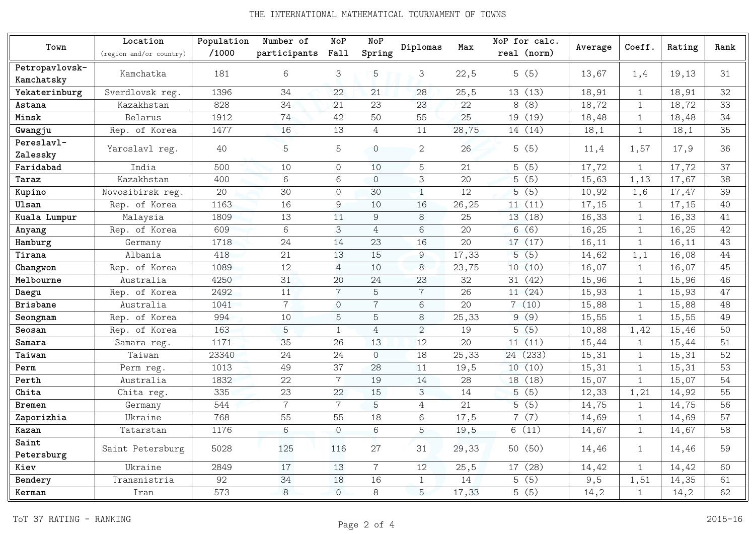## THE INTERNATIONAL MATHEMATICAL TOURNAMENT OF TOWNS

|                        | Location                | Population | Number of      | NoP            | NoP            |                |       | NoP for calc. |         |              |        | Rank |
|------------------------|-------------------------|------------|----------------|----------------|----------------|----------------|-------|---------------|---------|--------------|--------|------|
| Town                   | (region and/or country) | /1000      | participants   | Fall           | Spring         | Diplomas       | Max   | real (norm)   | Average | Coeff.       | Rating |      |
| Petropavlovsk-         |                         |            |                |                |                |                |       |               |         |              |        |      |
| Kamchatsky             | Kamchatka               | 181        | 6              | 3              | 5              | 3              | 22,5  | 5(5)          | 13,67   | 1,4          | 19,13  | 31   |
| Yekaterinburg          | Sverdlovsk reg.         | 1396       | 34             | 22             | 21             | 28             | 25,5  | 13(13)        | 18,91   | $\mathbf{1}$ | 18,91  | 32   |
| Astana                 | Kazakhstan              | 828        | 34             | 21             | 23             | 23             | 22    | 8(8)          | 18,72   | $\mathbf{1}$ | 18,72  | 33   |
| Minsk                  | Belarus                 | 1912       | 74             | 42             | 50             | 55             | 25    | 19 (19)       | 18,48   | $\mathbf{1}$ | 18,48  | 34   |
| Gwangju                | Rep. of Korea           | 1477       | 16             | 13             | 4              | 11             | 28,75 | 14 (14)       | 18,1    | $\mathbf{1}$ | 18,1   | 35   |
| Pereslavl-<br>Zalessky | Yaroslavl reg.          | 40         | 5              | 5              | $\mathbf 0$    | $\mathbf{2}$   | 26    | 5(5)          | 11,4    | 1,57         | 17,9   | 36   |
| Faridabad              | India                   | 500        | 10             | $\overline{O}$ | 10             | 5              | 21    | 5(5)          | 17,72   | $\mathbf{1}$ | 17,72  | 37   |
| Taraz                  | Kazakhstan              | 400        | 6              | 6              | $\Omega$       | 3              | 20    | 5(5)          | 15,63   | 1,13         | 17,67  | 38   |
| Kupino                 | Novosibirsk reg.        | 20         | 30             | $\circ$        | 30             | $\mathbf{1}$   | 12    | 5(5)          | 10,92   | 1,6          | 17,47  | 39   |
| Ulsan                  | Rep. of Korea           | 1163       | 16             | 9              | 10             | 16             | 26,25 | 11(11)        | 17,15   | $\mathbf{1}$ | 17,15  | 40   |
| Kuala Lumpur           | Malaysia                | 1809       | 13             | 11             | 9              | 8              | 25    | 13 (18)       | 16,33   | $\mathbf{1}$ | 16,33  | 41   |
| Anyang                 | Rep. of Korea           | 609        | 6              | 3              | $\overline{4}$ | 6              | 20    | 6(6)          | 16,25   | $\mathbf{1}$ | 16,25  | 42   |
| Hamburg                | Germany                 | 1718       | 24             | 14             | 23             | 16             | 20    | 17(17)        | 16,11   | $\mathbf{1}$ | 16,11  | 43   |
| Tirana                 | Albania                 | 418        | 21             | 13             | 15             | 9              | 17,33 | 5(5)          | 14,62   | 1,1          | 16,08  | 44   |
| Changwon               | Rep. of Korea           | 1089       | 12             | $\overline{4}$ | 10             | 8              | 23,75 | 10(10)        | 16,07   | $\mathbf{1}$ | 16,07  | 45   |
| Melbourne              | Australia               | 4250       | 31             | 20             | 24             | 23             | 32    | 31 (42)       | 15,96   | $\mathbf{1}$ | 15,96  | 46   |
| Daegu                  | Rep. of Korea           | 2492       | 11             | $\overline{7}$ | 5              | $\overline{7}$ | 26    | 11(24)        | 15,93   | $\mathbf{1}$ | 15,93  | 47   |
| <b>Brisbane</b>        | Australia               | 1041       | $\overline{7}$ | $\overline{O}$ | $\overline{7}$ | 6              | 20    | 7(10)         | 15,88   | $\mathbf{1}$ | 15,88  | 48   |
| Seongnam               | Rep. of Korea           | 994        | 10             | 5              | 5              | 8              | 25,33 | 9(9)          | 15,55   | $\mathbf{1}$ | 15,55  | 49   |
| Seosan                 | Rep. of Korea           | 163        | 5              | $\mathbf{1}$   | 4              | $\overline{2}$ | 19    | 5(5)          | 10,88   | 1,42         | 15,46  | 50   |
| Samara                 | Samara reg.             | 1171       | 35             | 26             | 13             | 12             | 20    | 11(11)        | 15,44   | $\mathbf{1}$ | 15,44  | 51   |
| Taiwan                 | Taiwan                  | 23340      | 24             | 24             | $\Omega$       | 18             | 25,33 | 24 (233)      | 15,31   | $\mathbf{1}$ | 15,31  | 52   |
| Perm                   | Perm reg.               | 1013       | 49             | 37             | 28             | 11             | 19,5  | 10(10)        | 15,31   | $\mathbf{1}$ | 15,31  | 53   |
| Perth                  | Australia               | 1832       | 22             | $\overline{7}$ | 19             | 14             | 28    | 18 (18)       | 15,07   | $\mathbf{1}$ | 15,07  | 54   |
| Chita                  | Chita reg.              | 335        | 23             | 22             | 15             | 3              | 14    | 5(5)          | 12,33   | 1,21         | 14,92  | 55   |
| Bremen                 | Germany                 | 544        | $\overline{7}$ | $\overline{7}$ | 5              | 4              | 21    | 5(5)          | 14,75   | $\mathbf{1}$ | 14,75  | 56   |
| Zaporizhia             | Ukraine                 | 768        | 55             | 55             | 18             | 6              | 17,5  | 7(7)          | 14,69   | $\mathbf{1}$ | 14,69  | 57   |
| Kazan                  | Tatarstan               | 1176       | 6              | $\circ$        | 6              | 5              | 19,5  | 6(11)         | 14,67   | $\mathbf{1}$ | 14,67  | 58   |
| Saint<br>Petersburg    | Saint Petersburg        | 5028       | 125            | 116            | 27             | 31             | 29,33 | 50 (50)       | 14,46   | 1            | 14,46  | 59   |
| Kiev                   | Ukraine                 | 2849       | 17             | 13             | $\overline{7}$ | 12             | 25,5  | 17 (28)       | 14,42   | $\mathbf{1}$ | 14,42  | 60   |
| Bendery                | Transnistria            | 92         | 34             | 18             | 16             | $\mathbf{1}$   | 14    | (5)<br>5      | 9,5     | 1,51         | 14,35  | 61   |
| Kerman                 | Iran                    | 573        | 8              | $\Omega$       | 8              | 5              | 17,33 | 5(5)          | 14,2    | 1            | 14,2   | 62   |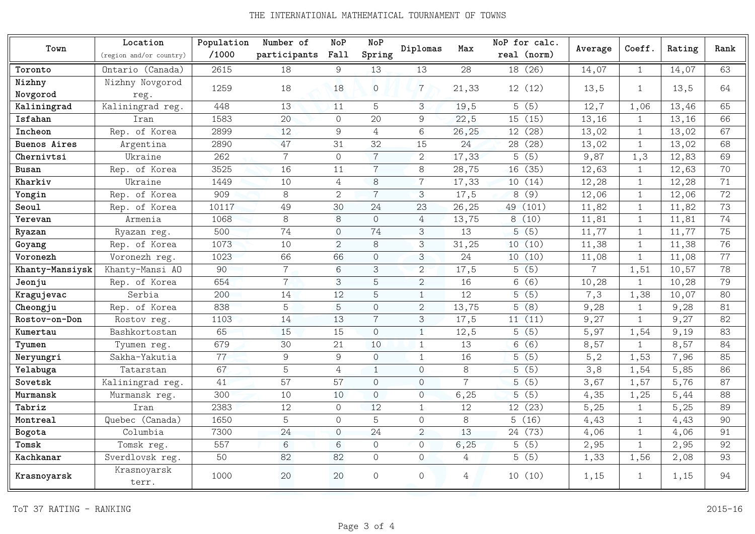## THE INTERNATIONAL MATHEMATICAL TOURNAMENT OF TOWNS

|                     | Location                | Population | Number of      | <b>NoP</b>     | <b>NoP</b>     | Diplomas       | Max            | NoP for calc.         |                |              | Rating | Rank |
|---------------------|-------------------------|------------|----------------|----------------|----------------|----------------|----------------|-----------------------|----------------|--------------|--------|------|
| Town                | (region and/or country) | /1000      | participants   | Fall           | Spring         |                |                | real (norm)           | Average        | Coeff.       |        |      |
| Toronto             | Ontario (Canada)        | 2615       | 18             | 9              | 13             | 13             | 28             | (26)<br>18            | 14,07          | $\mathbf{1}$ | 14,07  | 63   |
| Nizhny              | Nizhny Novgorod         | 1259       | 18             | 18             | $\Omega$       | $\overline{7}$ |                | 12(12)                |                | $\mathbf{1}$ | 13,5   | 64   |
| Novgorod            | reg.                    |            |                |                |                |                | 21,33          |                       | 13,5           |              |        |      |
| Kaliningrad         | Kaliningrad reg.        | 448        | 13             | 11             | 5              | 3              | 19,5           | 5(5)                  | 12,7           | 1,06         | 13,46  | 65   |
| Isfahan             | Iran                    | 1583       | 20             | $\circ$        | 20             | 9              | 22,5           | 15 (15)               | 13,16          | $\mathbf{1}$ | 13,16  | 66   |
| Incheon             | Rep. of Korea           | 2899       | 12             | 9              | 4              | 6              | 26,25          | (28)<br>12            | 13,02          | $\mathbf{1}$ | 13,02  | 67   |
| <b>Buenos Aires</b> | Argentina               | 2890       | 47             | 31             | 32             | 15             | 24             | (28)<br>28            | 13,02          | $\mathbf{1}$ | 13,02  | 68   |
| Chernivtsi          | Ukraine                 | 262        | $\overline{7}$ | $\circ$        | $\overline{7}$ | $\overline{2}$ | 17,33          | $\overline{(5)}$<br>5 | 9,87           | 1,3          | 12,83  | 69   |
| Busan               | Rep. of Korea           | 3525       | 16             | 11             | $\overline{7}$ | 8              | 28,75          | (35)<br>16            | 12,63          | $\mathbf{1}$ | 12,63  | 70   |
| Kharkiv             | Ukraine                 | 1449       | 10             | $\overline{4}$ | 8              | $\overline{7}$ | 17,33          | 10(14)                | 12,28          | $\mathbf{1}$ | 12,28  | 71   |
| Yongin              | Rep. of Korea           | 909        | 8              | $\overline{2}$ | $\overline{7}$ | 3              | 17,5           | (9)<br>8              | 12,06          | $\mathbf{1}$ | 12,06  | 72   |
| Seoul               | Rep. of Korea           | 10117      | 49             | 30             | 24             | 23             | 26,25          | 49 (101)              | 11,82          | $\mathbf{1}$ | 11,82  | 73   |
| Yerevan             | Armenia                 | 1068       | 8              | 8              | $\Omega$       | 4              | 13,75          | 8(10)                 | 11,81          | $\mathbf{1}$ | 11,81  | 74   |
| Ryazan              | Ryazan reg.             | 500        | 74             | $\overline{O}$ | 74             | 3              | 13             | 5(5)                  | 11,77          | $\mathbf{1}$ | 11,77  | 75   |
| Goyang              | Rep. of Korea           | 1073       | 10             | $\overline{2}$ | 8              | 3              | 31,25          | 10(10)                | 11,38          | $\mathbf{1}$ | 11,38  | 76   |
| Voronezh            | Voronezh reg.           | 1023       | 66             | 66             | $\Omega$       | 3              | 24             | 10(10)                | 11,08          | $\mathbf{1}$ | 11,08  | 77   |
| Khanty-Mansiysk     | Khanty-Mansi AO         | 90         | $\overline{7}$ | 6              | 3              | $\overline{2}$ | 17,5           | 5(5)                  | $\overline{7}$ | 1,51         | 10,57  | 78   |
| Jeonju              | Rep. of Korea           | 654        | $\overline{7}$ | 3              | 5              | $\overline{2}$ | 16             | (6)<br>6              | 10,28          | $\mathbf{1}$ | 10,28  | 79   |
| Kragujevac          | Serbia                  | 200        | 14             | 12             | 5              | $\mathbf{1}$   | 12             | (5)<br>5              | 7,3            | 1,38         | 10,07  | 80   |
| Cheongju            | Rep. of Korea           | 838        | 5              | 5              | $\Omega$       | $\overline{2}$ | 13,75          | (8)<br>5              | 9,28           | $\mathbf{1}$ | 9,28   | 81   |
| Rostov-on-Don       | Rostov reg.             | 1103       | 14             | 13             | $\overline{7}$ | 3              | 17,5           | 11(11)                | 9,27           | $\mathbf{1}$ | 9,27   | 82   |
| Kumertau            | Bashkortostan           | 65         | 15             | 15             | $\overline{O}$ | $\mathbf{1}$   | 12,5           | 5(5)                  | 5,97           | 1,54         | 9,19   | 83   |
| Tyumen              | Tyumen reg.             | 679        | 30             | 21             | 10             | $\mathbf{1}$   | 13             | (6)<br>6 <sup>1</sup> | 8,57           | $\mathbf{1}$ | 8,57   | 84   |
| Neryungri           | Sakha-Yakutia           | 77         | 9              | 9              | $\overline{O}$ | $\mathbf{1}$   | 16             | (5)<br>5              | 5, 2           | 1,53         | 7,96   | 85   |
| Yelabuga            | Tatarstan               | 67         | 5              | $\overline{4}$ | $\mathbf{1}$   | $\Omega$       | 8              | (5)<br>5              | 3,8            | 1,54         | 5,85   | 86   |
| Sovetsk             | Kaliningrad reg.        | 41         | 57             | 57             | $\Omega$       | $\Omega$       | $\overline{7}$ | (5)<br>5              | 3,67           | 1,57         | 5,76   | 87   |
| Murmansk            | Murmansk reg.           | 300        | 10             | 10             | $\overline{O}$ | $\overline{O}$ | 6, 25          | (5)<br>5              | 4,35           | 1,25         | 5,44   | 88   |
| Tabriz              | Iran                    | 2383       | 12             | $\Omega$       | 12             | 1              | 12             | 12 (23)               | 5,25           | $\mathbf{1}$ | 5,25   | 89   |
| Montreal            | Quebec (Canada)         | 1650       | 5              | $\Omega$       | 5              | $\Omega$       | 8              | 5(16)                 | 4,43           | $\mathbf{1}$ | 4,43   | 90   |
| Bogota              | Columbia                | 7300       | 24             | $\overline{O}$ | 24             | $\overline{2}$ | 13             | 24 (73)               | 4,06           | $\mathbf{1}$ | 4,06   | 91   |
| Tomsk               | Tomsk reg.              | 557        | 6              | 6              | $\Omega$       | $\Omega$       | 6, 25          | 5(5)                  | 2,95           | $\mathbf{1}$ | 2,95   | 92   |
| Kachkanar           | Sverdlovsk reg.         | 50         | 82             | 82             | $\Omega$       | $\Omega$       | $\overline{4}$ | 5(5)                  | 1,33           | 1,56         | 2,08   | 93   |
| Krasnoyarsk         | Krasnoyarsk<br>terr.    | 1000       | 20             | 20             | $\Omega$       | $\Omega$       | 4              | 10(10)                | 1,15           | $\mathbf{1}$ | 1,15   | 94   |